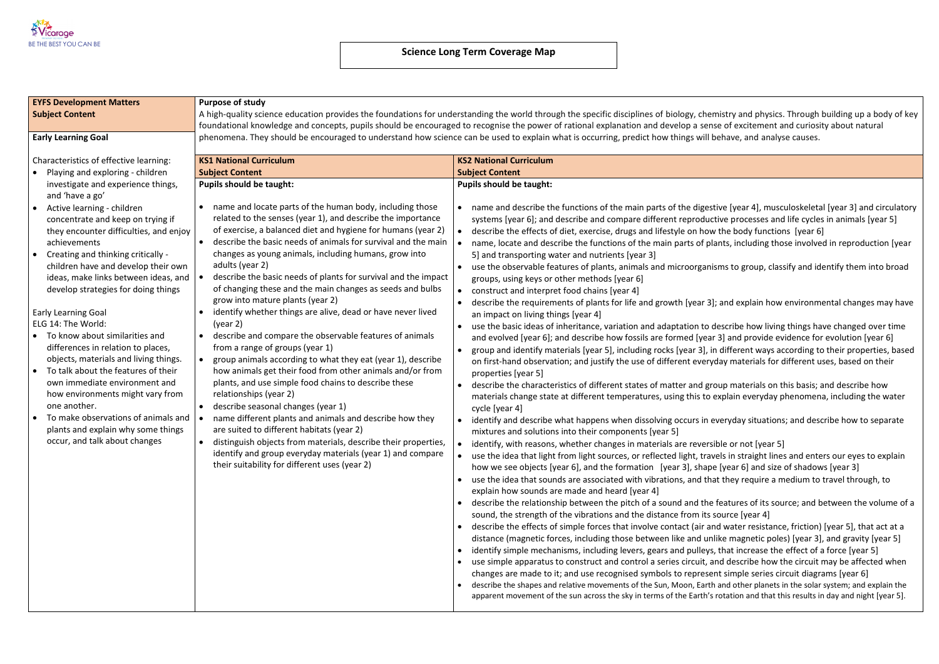

| <b>EYFS Development Matters</b>                                                                                                                                                                                                                                                                                                                                      | <b>Purpose of study</b>                                                                                                                                                                                                                                                                                                                                                                                                                                                                                                                                                                                                                              |                                                                                                                                                                                                                                                                                                                                                                                                                                                                                                                                                                                                                                                                                                                                                                                                                                                                                                                                                                                                                                                                         |  |  |  |  |
|----------------------------------------------------------------------------------------------------------------------------------------------------------------------------------------------------------------------------------------------------------------------------------------------------------------------------------------------------------------------|------------------------------------------------------------------------------------------------------------------------------------------------------------------------------------------------------------------------------------------------------------------------------------------------------------------------------------------------------------------------------------------------------------------------------------------------------------------------------------------------------------------------------------------------------------------------------------------------------------------------------------------------------|-------------------------------------------------------------------------------------------------------------------------------------------------------------------------------------------------------------------------------------------------------------------------------------------------------------------------------------------------------------------------------------------------------------------------------------------------------------------------------------------------------------------------------------------------------------------------------------------------------------------------------------------------------------------------------------------------------------------------------------------------------------------------------------------------------------------------------------------------------------------------------------------------------------------------------------------------------------------------------------------------------------------------------------------------------------------------|--|--|--|--|
| <b>Subject Content</b>                                                                                                                                                                                                                                                                                                                                               | A high-quality science education provides the foundations for understanding the world through the specific disciplines of biology, che                                                                                                                                                                                                                                                                                                                                                                                                                                                                                                               |                                                                                                                                                                                                                                                                                                                                                                                                                                                                                                                                                                                                                                                                                                                                                                                                                                                                                                                                                                                                                                                                         |  |  |  |  |
|                                                                                                                                                                                                                                                                                                                                                                      |                                                                                                                                                                                                                                                                                                                                                                                                                                                                                                                                                                                                                                                      | foundational knowledge and concepts, pupils should be encouraged to recognise the power of rational explanation and develop a ser                                                                                                                                                                                                                                                                                                                                                                                                                                                                                                                                                                                                                                                                                                                                                                                                                                                                                                                                       |  |  |  |  |
| <b>Early Learning Goal</b>                                                                                                                                                                                                                                                                                                                                           |                                                                                                                                                                                                                                                                                                                                                                                                                                                                                                                                                                                                                                                      | phenomena. They should be encouraged to understand how science can be used to explain what is occurring, predict how things will                                                                                                                                                                                                                                                                                                                                                                                                                                                                                                                                                                                                                                                                                                                                                                                                                                                                                                                                        |  |  |  |  |
| Characteristics of effective learning:                                                                                                                                                                                                                                                                                                                               | <b>KS1 National Curriculum</b>                                                                                                                                                                                                                                                                                                                                                                                                                                                                                                                                                                                                                       | <b>KS2 National Curriculum</b>                                                                                                                                                                                                                                                                                                                                                                                                                                                                                                                                                                                                                                                                                                                                                                                                                                                                                                                                                                                                                                          |  |  |  |  |
| Playing and exploring - children<br>investigate and experience things,<br>and 'have a go'<br>Active learning - children                                                                                                                                                                                                                                              | <b>Subject Content</b><br><b>Pupils should be taught:</b><br>name and locate parts of the human body, including those                                                                                                                                                                                                                                                                                                                                                                                                                                                                                                                                | <b>Subject Content</b><br><b>Pupils should be taught:</b><br>name and describe the functions of the main parts of the diges<br>$\bullet$                                                                                                                                                                                                                                                                                                                                                                                                                                                                                                                                                                                                                                                                                                                                                                                                                                                                                                                                |  |  |  |  |
| concentrate and keep on trying if<br>they encounter difficulties, and enjoy<br>achievements<br>Creating and thinking critically -                                                                                                                                                                                                                                    | related to the senses (year 1), and describe the importance<br>of exercise, a balanced diet and hygiene for humans (year 2)<br>describe the basic needs of animals for survival and the main<br>changes as young animals, including humans, grow into                                                                                                                                                                                                                                                                                                                                                                                                | systems [year 6]; and describe and compare different reprodu<br>describe the effects of diet, exercise, drugs and lifestyle on hot<br>name, locate and describe the functions of the main parts of p<br>5] and transporting water and nutrients [year 3]                                                                                                                                                                                                                                                                                                                                                                                                                                                                                                                                                                                                                                                                                                                                                                                                                |  |  |  |  |
| children have and develop their own<br>ideas, make links between ideas, and<br>develop strategies for doing things                                                                                                                                                                                                                                                   | adults (year 2)<br>describe the basic needs of plants for survival and the impact<br>of changing these and the main changes as seeds and bulbs<br>grow into mature plants (year 2)                                                                                                                                                                                                                                                                                                                                                                                                                                                                   | use the observable features of plants, animals and microorgan<br>groups, using keys or other methods [year 6]<br>construct and interpret food chains [year 4]<br>describe the requirements of plants for life and growth [year 3                                                                                                                                                                                                                                                                                                                                                                                                                                                                                                                                                                                                                                                                                                                                                                                                                                        |  |  |  |  |
| <b>Early Learning Goal</b><br>ELG 14: The World:                                                                                                                                                                                                                                                                                                                     | identify whether things are alive, dead or have never lived<br>(year 2)                                                                                                                                                                                                                                                                                                                                                                                                                                                                                                                                                                              | an impact on living things [year 4]<br>use the basic ideas of inheritance, variation and adaptation to                                                                                                                                                                                                                                                                                                                                                                                                                                                                                                                                                                                                                                                                                                                                                                                                                                                                                                                                                                  |  |  |  |  |
| To know about similarities and<br>differences in relation to places,<br>objects, materials and living things.<br>To talk about the features of their<br>$\bullet$<br>own immediate environment and<br>how environments might vary from<br>one another.<br>To make observations of animals and<br>plants and explain why some things<br>occur, and talk about changes | describe and compare the observable features of animals<br>from a range of groups (year 1)<br>group animals according to what they eat (year 1), describe<br>how animals get their food from other animals and/or from<br>plants, and use simple food chains to describe these<br>relationships (year 2)<br>describe seasonal changes (year 1)<br>$\bullet$<br>name different plants and animals and describe how they<br>are suited to different habitats (year 2)<br>distinguish objects from materials, describe their properties,<br>identify and group everyday materials (year 1) and compare<br>their suitability for different uses (year 2) | and evolved [year 6]; and describe how fossils are formed [year<br>group and identify materials [year 5], including rocks [year 3],<br>on first-hand observation; and justify the use of different ever<br>properties [year 5]<br>describe the characteristics of different states of matter and g<br>materials change state at different temperatures, using this to<br>cycle [year 4]<br>identify and describe what happens when dissolving occurs in<br>mixtures and solutions into their components [year 5]<br>identify, with reasons, whether changes in materials are rever.<br>$\bullet$<br>use the idea that light from light sources, or reflected light, tra<br>how we see objects [year 6], and the formation [year 3], shap<br>use the idea that sounds are associated with vibrations, and th<br>explain how sounds are made and heard [year 4]<br>describe the relationship between the pitch of a sound and the<br>sound, the strength of the vibrations and the distance from its<br>describe the effects of simple forces that involve contact (air a |  |  |  |  |
|                                                                                                                                                                                                                                                                                                                                                                      |                                                                                                                                                                                                                                                                                                                                                                                                                                                                                                                                                                                                                                                      | distance (magnetic forces, including those between like and ur<br>identify simple mechanisms, including levers, gears and pulley<br>use simple apparatus to construct and control a series circuit,<br>changes are made to it; and use recognised symbols to represe<br>describe the shapes and relative movements of the Sun, Moon, Eart<br>apparent movement of the sun across the sky in terms of the Earth'.                                                                                                                                                                                                                                                                                                                                                                                                                                                                                                                                                                                                                                                        |  |  |  |  |

A high-pullity science education provides the foundations for the specific through the specific disciplines of  $\log y$ nse of excitement and curiosity about natural behave, and analyse causes.

stive [year 4], musculoskeletal [year 3] and circulatory ctive processes and life cycles in animals [year 5] w the body functions  $[year 6]$ lants, including those involved in reproduction [year

isms to group, classify and identify them into broad

 $B$ ; and explain how environmental changes may have

describe how living things have changed over time ar 3] and provide evidence for evolution [year 6] in different ways according to their properties, based yday materials for different uses, based on their

roup materials on this basis; and describe how explain everyday phenomena, including the water

everyday situations; and describe how to separate

sible or not [year 5]

wels in straight lines and enters our eyes to explain pe [year 6] and size of shadows [year 3]

at they require a medium to travel through, to

e features of its source; and between the volume of a source [year 4]

and water resistance, friction) [year 5], that act at and water resistance, friction) nlike magnetic poles) [year 3], and gravity [year 5] is, that increase the effect of a force [year 5]

and describe how the circuit may be affected when ent simple series circuit diagrams [year 6]

th and other planets in the solar system; and explain the 's rotation and that this results in day and night [year 5].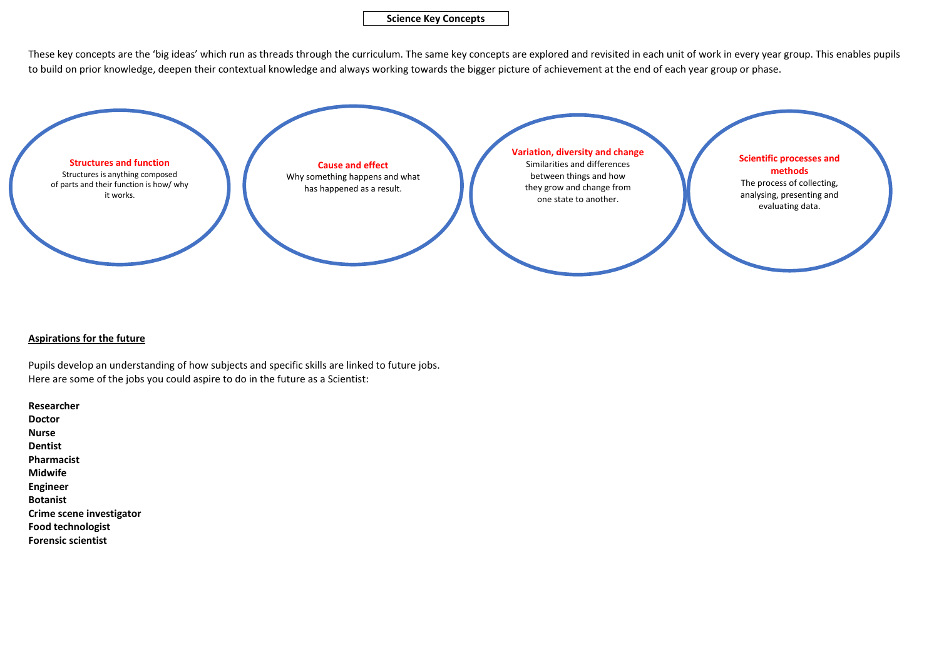These key concepts are the 'big ideas' which run as threads through the curriculum. The same key concepts are explored and revisited in each unit of work in every year group. This enables pupils to build on prior knowledge, deepen their contextual knowledge and always working towards the bigger picture of achievement at the end of each year group or phase.

## **Aspirations for the future**

Pupils develop an understanding of how subjects and specific skills are linked to future jobs. Here are some of the jobs you could aspire to do in the future as a Scientist:

**Researcher Doctor Nurse Dentist Pharmacist Midwife Engineer Botanist Crime scene investigator Food technologist Forensic scientist**

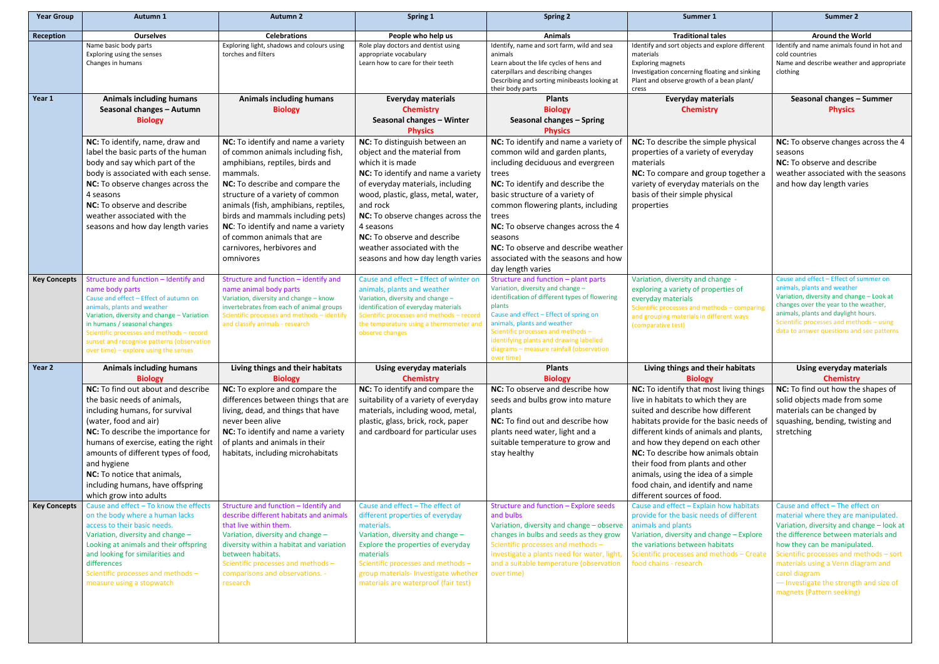| <b>Year Group</b>   | Autumn 1                                                                                                                                                                                                                                                                                                                                                      | <b>Autumn 2</b>                                                                                                                                                                                                                                                                                                                                                                           | Spring 1                                                                                                                                                                                                                                                                                                                                                            | <b>Spring 2</b>                                                                                                                                                                                                                                                                                                                                                                                  | Summer 1                                                                                                                                                                                                                                                                                                                                                                                                                         | <b>Summer 2</b>                                                                                                                                                                                                                                                                                                                                                        |
|---------------------|---------------------------------------------------------------------------------------------------------------------------------------------------------------------------------------------------------------------------------------------------------------------------------------------------------------------------------------------------------------|-------------------------------------------------------------------------------------------------------------------------------------------------------------------------------------------------------------------------------------------------------------------------------------------------------------------------------------------------------------------------------------------|---------------------------------------------------------------------------------------------------------------------------------------------------------------------------------------------------------------------------------------------------------------------------------------------------------------------------------------------------------------------|--------------------------------------------------------------------------------------------------------------------------------------------------------------------------------------------------------------------------------------------------------------------------------------------------------------------------------------------------------------------------------------------------|----------------------------------------------------------------------------------------------------------------------------------------------------------------------------------------------------------------------------------------------------------------------------------------------------------------------------------------------------------------------------------------------------------------------------------|------------------------------------------------------------------------------------------------------------------------------------------------------------------------------------------------------------------------------------------------------------------------------------------------------------------------------------------------------------------------|
| Reception           | <b>Ourselves</b>                                                                                                                                                                                                                                                                                                                                              | <b>Celebrations</b>                                                                                                                                                                                                                                                                                                                                                                       | People who help us                                                                                                                                                                                                                                                                                                                                                  | <b>Animals</b>                                                                                                                                                                                                                                                                                                                                                                                   | <b>Traditional tales</b>                                                                                                                                                                                                                                                                                                                                                                                                         | <b>Around the World</b>                                                                                                                                                                                                                                                                                                                                                |
|                     | Name basic body parts<br>Exploring using the senses<br>Changes in humans                                                                                                                                                                                                                                                                                      | Exploring light, shadows and colours using<br>torches and filters                                                                                                                                                                                                                                                                                                                         | Role play doctors and dentist using<br>appropriate vocabulary<br>Learn how to care for their teeth                                                                                                                                                                                                                                                                  | Identify, name and sort farm, wild and sea<br>animals<br>Learn about the life cycles of hens and<br>caterpillars and describing changes<br>Describing and sorting minibeasts looking at<br>their body parts                                                                                                                                                                                      | Identify and sort objects and explore different<br>materials<br><b>Exploring magnets</b><br>Investigation concerning floating and sinking<br>Plant and observe growth of a bean plant/<br>cress                                                                                                                                                                                                                                  | Identify and name animals found in hot and<br>cold countries<br>Name and describe weather and appropriate<br>clothing                                                                                                                                                                                                                                                  |
| Year 1              | <b>Animals including humans</b><br>Seasonal changes - Autumn<br><b>Biology</b>                                                                                                                                                                                                                                                                                | <b>Animals including humans</b><br><b>Biology</b>                                                                                                                                                                                                                                                                                                                                         | <b>Everyday materials</b><br><b>Chemistry</b><br>Seasonal changes - Winter<br><b>Physics</b>                                                                                                                                                                                                                                                                        | <b>Plants</b><br><b>Biology</b><br>Seasonal changes - Spring<br><b>Physics</b>                                                                                                                                                                                                                                                                                                                   | <b>Everyday materials</b><br><b>Chemistry</b>                                                                                                                                                                                                                                                                                                                                                                                    | Seasonal changes - Summer<br><b>Physics</b>                                                                                                                                                                                                                                                                                                                            |
|                     | NC: To identify, name, draw and<br>label the basic parts of the human<br>body and say which part of the<br>body is associated with each sense.<br>NC: To observe changes across the<br>4 seasons<br>NC: To observe and describe<br>weather associated with the<br>seasons and how day length varies                                                           | NC: To identify and name a variety<br>of common animals including fish,<br>amphibians, reptiles, birds and<br>mammals.<br>NC: To describe and compare the<br>structure of a variety of common<br>animals (fish, amphibians, reptiles,<br>birds and mammals including pets)<br>NC: To identify and name a variety<br>of common animals that are<br>carnivores, herbivores and<br>omnivores | NC: To distinguish between an<br>object and the material from<br>which it is made<br>NC: To identify and name a variety<br>of everyday materials, including<br>wood, plastic, glass, metal, water,<br>and rock<br>NC: To observe changes across the<br>4 seasons<br>NC: To observe and describe<br>weather associated with the<br>seasons and how day length varies | NC: To identify and name a variety of<br>common wild and garden plants,<br>including deciduous and evergreen<br>trees<br>NC: To identify and describe the<br>basic structure of a variety of<br>common flowering plants, including<br>trees<br>NC: To observe changes across the 4<br>seasons<br>NC: To observe and describe weather<br>associated with the seasons and how<br>day length varies | NC: To describe the simple physical<br>properties of a variety of everyday<br>materials<br>NC: To compare and group together a<br>variety of everyday materials on the<br>basis of their simple physical<br>properties                                                                                                                                                                                                           | NC: To observe changes across the 4<br>seasons<br>NC: To observe and describe<br>weather associated with the seasons<br>and how day length varies                                                                                                                                                                                                                      |
| <b>Key Concepts</b> | Structure and function - Identify and<br>name body parts<br>Cause and effect - Effect of autumn on<br>animals, plants and weather<br>Variation, diversity and change - Variation<br>in humans / seasonal changes<br>Scientific processes and methods - record<br>sunset and recognise patterns (observation<br>over time) - explore using the senses          | Structure and function - identify and<br>name animal body parts<br>Variation, diversity and change - know<br>invertebrates from each of animal groups<br>Scientific processes and methods - identify<br>and classify animals - research                                                                                                                                                   | Cause and effect - Effect of winter on<br>animals, plants and weather<br>Variation, diversity and change -<br>identification of everyday materials<br>Scientific processes and methods - record<br>the temperature using a thermometer and<br>observe changes                                                                                                       | Structure and function - plant parts<br>Variation, diversity and change -<br>identification of different types of flowering<br>plants<br>Cause and effect - Effect of spring on<br>animals, plants and weather<br>Scientific processes and methods -<br>identifying plants and drawing labelled<br>diagrams - measure rainfall (observation<br>over time)                                        | Variation, diversity and change -<br>exploring a variety of properties of<br>everyday materials<br>Scientific processes and methods - comparing<br>and grouping materials in different ways<br>(comparative test)                                                                                                                                                                                                                | Cause and effect - Effect of summer on<br>animals, plants and weather<br>Variation, diversity and change - Look at<br>changes over the year to the weather,<br>animals, plants and daylight hours.<br>Scientific processes and methods - using<br>data to answer questions and see patterns                                                                            |
| Year 2              | <b>Animals including humans</b><br><b>Biology</b>                                                                                                                                                                                                                                                                                                             | Living things and their habitats<br><b>Biology</b>                                                                                                                                                                                                                                                                                                                                        | <b>Using everyday materials</b><br><b>Chemistry</b>                                                                                                                                                                                                                                                                                                                 | <b>Plants</b><br><b>Biology</b>                                                                                                                                                                                                                                                                                                                                                                  | Living things and their habitats<br><b>Biology</b>                                                                                                                                                                                                                                                                                                                                                                               | <b>Using everyday materials</b><br><b>Chemistry</b>                                                                                                                                                                                                                                                                                                                    |
|                     | NC: To find out about and describe<br>the basic needs of animals,<br>including humans, for survival<br>(water, food and air)<br>NC: To describe the importance for<br>humans of exercise, eating the right<br>amounts of different types of food,<br>and hygiene<br>NC: To notice that animals,<br>including humans, have offspring<br>which grow into adults | NC: To explore and compare the<br>differences between things that are<br>living, dead, and things that have<br>never been alive<br>NC: To identify and name a variety<br>of plants and animals in their<br>habitats, including microhabitats                                                                                                                                              | NC: To identify and compare the<br>suitability of a variety of everyday<br>materials, including wood, metal,<br>plastic, glass, brick, rock, paper<br>and cardboard for particular uses                                                                                                                                                                             | NC: To observe and describe how<br>seeds and bulbs grow into mature<br>plants<br>NC: To find out and describe how<br>plants need water, light and a<br>suitable temperature to grow and<br>stay healthy                                                                                                                                                                                          | NC: To identify that most living things<br>live in habitats to which they are<br>suited and describe how different<br>habitats provide for the basic needs of<br>different kinds of animals and plants,<br>and how they depend on each other<br>NC: To describe how animals obtain<br>their food from plants and other<br>animals, using the idea of a simple<br>food chain, and identify and name<br>different sources of food. | NC: To find out how the shapes of<br>solid objects made from some<br>materials can be changed by<br>squashing, bending, twisting and<br>stretching                                                                                                                                                                                                                     |
| <b>Key Concepts</b> | Cause and effect - To know the effects<br>on the body where a human lacks<br>access to their basic needs.<br>Variation, diversity and change -<br>Looking at animals and their offspring<br>and looking for similarities and<br>differences<br>Scientific processes and methods -<br>measure using a stopwatch                                                | Structure and function - Identify and<br>describe different habitats and animals<br>that live within them.<br>Variation, diversity and change -<br>diversity within a habitat and variation<br>between habitats.<br>Scientific processes and methods -<br>comparisons and observations. -<br>research                                                                                     | Cause and effect - The effect of<br>different properties of everyday<br>materials.<br>Variation, diversity and change -<br>Explore the properties of everyday<br>materials<br>Scientific processes and methods -<br>group materials- Investigate whether<br>materials are waterproof (fair test)                                                                    | Structure and function - Explore seeds<br>and bulbs<br>Variation, diversity and change - observe<br>changes in bulbs and seeds as they grow<br>Scientific processes and methods -<br>investigate a plants need for water, light,<br>and a suitable temperature (observation<br>over time)                                                                                                        | Cause and effect - Explain how habitats<br>provide for the basic needs of different<br>animals and plants<br>Variation, diversity and change - Explore<br>the variations between habitats<br>Scientific processes and methods - Create<br>food chains - research                                                                                                                                                                 | Cause and effect - The effect on<br>material where they are manipulated.<br>Variation, diversity and change - look at<br>the difference between materials and<br>how they can be manipulated.<br>Scientific processes and methods - sort<br>materials using a Venn diagram and<br>carol diagram<br>- Investigate the strength and size of<br>magnets (Pattern seeking) |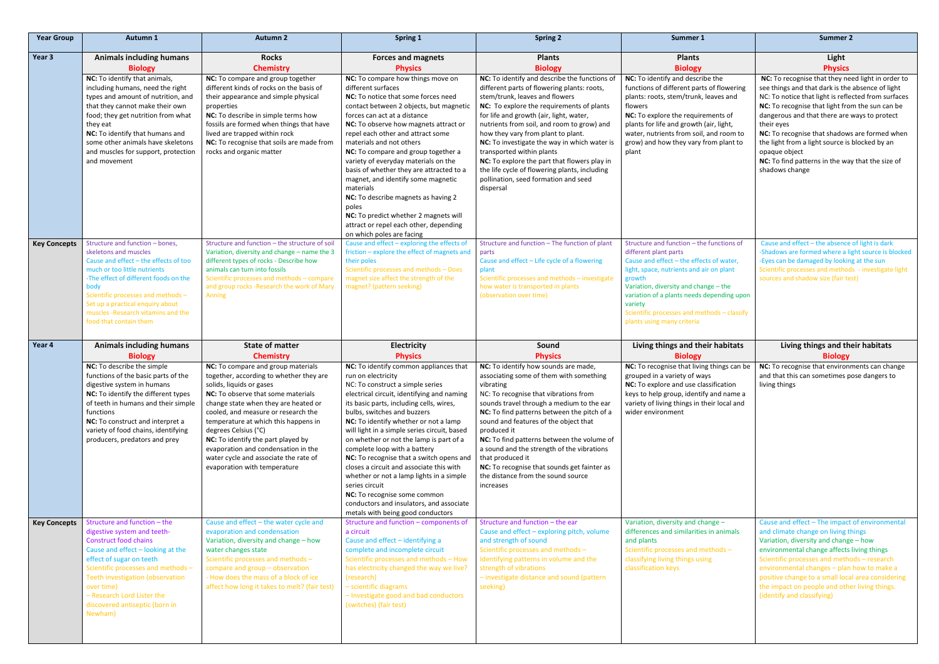| <b>Year Group</b>   | <b>Autumn 1</b>                                                                                                                                                                                                                                                                                                                                          | <b>Autumn 2</b>                                                                                                                                                                                                                                                                                                                                                                                                                                                                                                           | Spring 1                                                                                                                                                                                                                                                                                                                                                                                                                                                                                                                                                                                                                                                                                                                         | <b>Spring 2</b>                                                                                                                                                                                                                                                                                                                                                                                                                                                                                                                                                   | Summer 1                                                                                                                                                                                                                                                                                                                                            | Summer 2                                                                                                                                                                                                                                                                                                                                                                                                                                                                |
|---------------------|----------------------------------------------------------------------------------------------------------------------------------------------------------------------------------------------------------------------------------------------------------------------------------------------------------------------------------------------------------|---------------------------------------------------------------------------------------------------------------------------------------------------------------------------------------------------------------------------------------------------------------------------------------------------------------------------------------------------------------------------------------------------------------------------------------------------------------------------------------------------------------------------|----------------------------------------------------------------------------------------------------------------------------------------------------------------------------------------------------------------------------------------------------------------------------------------------------------------------------------------------------------------------------------------------------------------------------------------------------------------------------------------------------------------------------------------------------------------------------------------------------------------------------------------------------------------------------------------------------------------------------------|-------------------------------------------------------------------------------------------------------------------------------------------------------------------------------------------------------------------------------------------------------------------------------------------------------------------------------------------------------------------------------------------------------------------------------------------------------------------------------------------------------------------------------------------------------------------|-----------------------------------------------------------------------------------------------------------------------------------------------------------------------------------------------------------------------------------------------------------------------------------------------------------------------------------------------------|-------------------------------------------------------------------------------------------------------------------------------------------------------------------------------------------------------------------------------------------------------------------------------------------------------------------------------------------------------------------------------------------------------------------------------------------------------------------------|
| Year 3              | <b>Animals including humans</b><br><b>Biology</b>                                                                                                                                                                                                                                                                                                        | <b>Rocks</b><br><b>Chemistry</b>                                                                                                                                                                                                                                                                                                                                                                                                                                                                                          | <b>Forces and magnets</b><br><b>Physics</b>                                                                                                                                                                                                                                                                                                                                                                                                                                                                                                                                                                                                                                                                                      | <b>Plants</b><br><b>Biology</b>                                                                                                                                                                                                                                                                                                                                                                                                                                                                                                                                   | <b>Plants</b><br><b>Biology</b>                                                                                                                                                                                                                                                                                                                     | Light<br><b>Physics</b>                                                                                                                                                                                                                                                                                                                                                                                                                                                 |
|                     | NC: To identify that animals,<br>including humans, need the right<br>types and amount of nutrition, and<br>that they cannot make their own<br>food; they get nutrition from what<br>they eat<br>NC: To identify that humans and<br>some other animals have skeletons<br>and muscles for support, protection<br>and movement                              | NC: To compare and group together<br>different kinds of rocks on the basis of<br>their appearance and simple physical<br>properties<br>NC: To describe in simple terms how<br>fossils are formed when things that have<br>lived are trapped within rock<br>NC: To recognise that soils are made from<br>rocks and organic matter                                                                                                                                                                                          | NC: To compare how things move on<br>different surfaces<br>NC: To notice that some forces need<br>contact between 2 objects, but magnetic<br>forces can act at a distance<br>NC: To observe how magnets attract or<br>repel each other and attract some<br>materials and not others<br>NC: To compare and group together a<br>variety of everyday materials on the<br>basis of whether they are attracted to a<br>magnet, and identify some magnetic<br>materials<br>NC: To describe magnets as having 2<br>poles<br>NC: To predict whether 2 magnets will<br>attract or repel each other, depending<br>on which poles are facing                                                                                                | NC: To identify and describe the functions of<br>different parts of flowering plants: roots,<br>stem/trunk, leaves and flowers<br>NC: To explore the requirements of plants<br>for life and growth (air, light, water,<br>nutrients from soil, and room to grow) and<br>how they vary from plant to plant.<br>NC: To investigate the way in which water is<br>transported within plants<br>NC: To explore the part that flowers play in<br>the life cycle of flowering plants, including<br>pollination, seed formation and seed<br>dispersal                     | NC: To identify and describe the<br>functions of different parts of flowering<br>plants: roots, stem/trunk, leaves and<br>flowers<br>NC: To explore the requirements of<br>plants for life and growth (air, light,<br>water, nutrients from soil, and room to<br>grow) and how they vary from plant to<br>plant                                     | NC: To recognise that they need light in order to<br>see things and that dark is the absence of light<br>NC: To notice that light is reflected from surfaces<br>NC: To recognise that light from the sun can be<br>dangerous and that there are ways to protect<br>their eyes<br>NC: To recognise that shadows are formed when<br>the light from a light source is blocked by an<br>opaque object<br>NC: To find patterns in the way that the size of<br>shadows change |
| <b>Key Concepts</b> | Structure and function - bones,<br>skeletons and muscles<br>Cause and effect - the effects of too<br>much or too little nutrients<br>-The effect of different foods on the<br>body<br>Scientific processes and methods -<br>Set up a practical enquiry about<br>muscles - Research vitamins and the<br>food that contain them                            | Structure and function - the structure of soil<br>Variation, diversity and change - name the 3<br>different types of rocks - Describe how<br>animals can turn into fossils<br>Scientific processes and methods - compare<br>and group rocks -Research the work of Mary<br>Anning                                                                                                                                                                                                                                          | Cause and effect - exploring the effects of<br>friction - explore the effect of magnets and<br>their poles<br>Scientific processes and methods - Does<br>magnet size affect the strength of the<br>magnet? (pattern seeking)                                                                                                                                                                                                                                                                                                                                                                                                                                                                                                     | Structure and function - The function of plant<br>parts<br>Cause and effect - Life cycle of a flowering<br>plant<br>Scientific processes and methods - investigate<br>how water is transported in plants<br>(observation over time)                                                                                                                                                                                                                                                                                                                               | Structure and function - the functions of<br>different plant parts<br>Cause and effect - the effects of water,<br>light, space, nutrients and air on plant<br>growth<br>Variation, diversity and change - the<br>variation of a plants needs depending upon<br>variety<br>Scientific processes and methods - classify<br>plants using many criteria | Cause and effect - the absence of light is dark<br>-Shadows are formed where a light source is blocked<br>-Eyes can be damaged by looking at the sun<br>Scientific processes and methods - investigate light<br>sources and shadow size (fair test)                                                                                                                                                                                                                     |
|                     |                                                                                                                                                                                                                                                                                                                                                          |                                                                                                                                                                                                                                                                                                                                                                                                                                                                                                                           |                                                                                                                                                                                                                                                                                                                                                                                                                                                                                                                                                                                                                                                                                                                                  |                                                                                                                                                                                                                                                                                                                                                                                                                                                                                                                                                                   |                                                                                                                                                                                                                                                                                                                                                     |                                                                                                                                                                                                                                                                                                                                                                                                                                                                         |
| Year 4              | <b>Animals including humans</b>                                                                                                                                                                                                                                                                                                                          | <b>State of matter</b>                                                                                                                                                                                                                                                                                                                                                                                                                                                                                                    | <b>Electricity</b>                                                                                                                                                                                                                                                                                                                                                                                                                                                                                                                                                                                                                                                                                                               | Sound                                                                                                                                                                                                                                                                                                                                                                                                                                                                                                                                                             | Living things and their habitats                                                                                                                                                                                                                                                                                                                    | Living things and their habitats                                                                                                                                                                                                                                                                                                                                                                                                                                        |
|                     | <b>Biology</b><br>NC: To describe the simple<br>functions of the basic parts of the<br>digestive system in humans<br>NC: To identify the different types<br>of teeth in humans and their simple<br>functions<br>NC: To construct and interpret a<br>variety of food chains, identifying<br>producers, predators and prey<br>Structure and function - the | <b>Chemistry</b><br>NC: To compare and group materials<br>together, according to whether they are<br>solids, liquids or gases<br><b>NC:</b> To observe that some materials<br>change state when they are heated or<br>cooled, and measure or research the<br>temperature at which this happens in<br>degrees Celsius (°C)<br>NC: To identify the part played by<br>evaporation and condensation in the<br>water cycle and associate the rate of<br>evaporation with temperature<br>Cause and effect - the water cycle and | <b>Physics</b><br>NC: To identify common appliances that<br>run on electricity<br>NC: To construct a simple series<br>electrical circuit, identifying and naming<br>its basic parts, including cells, wires,<br>bulbs, switches and buzzers<br>NC: To identify whether or not a lamp<br>will light in a simple series circuit, based<br>on whether or not the lamp is part of a<br>complete loop with a battery<br>NC: To recognise that a switch opens and<br>closes a circuit and associate this with<br>whether or not a lamp lights in a simple<br>series circuit<br>NC: To recognise some common<br>conductors and insulators, and associate<br>metals with being good conductors<br>Structure and function - components of | <b>Physics</b><br>NC: To identify how sounds are made,<br>associating some of them with something<br>vibrating<br>NC: To recognise that vibrations from<br>sounds travel through a medium to the ear<br>NC: To find patterns between the pitch of a<br>sound and features of the object that<br>produced it<br>NC: To find patterns between the volume of<br>a sound and the strength of the vibrations<br>that produced it<br>NC: To recognise that sounds get fainter as<br>the distance from the sound source<br>increases<br>Structure and function - the ear | <b>Biology</b><br>NC: To recognise that living things can be<br>grouped in a variety of ways<br>NC: To explore and use classification<br>keys to help group, identify and name a<br>variety of living things in their local and<br>wider environment<br>Variation, diversity and change -                                                           | <b>Biology</b><br>NC: To recognise that environments can change<br>and that this can sometimes pose dangers to<br>living things<br>Cause and effect - The impact of environmental                                                                                                                                                                                                                                                                                       |